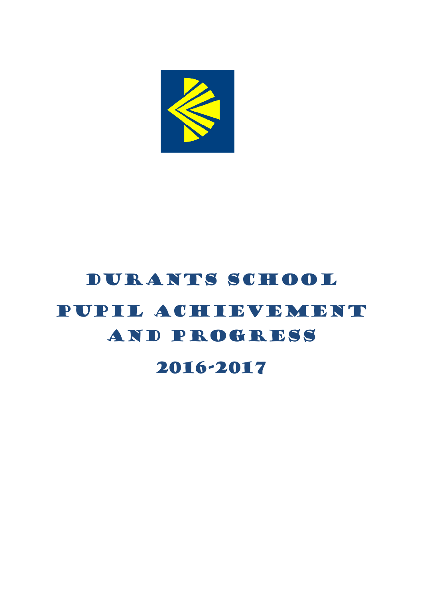

# DURANTS SCHOOL Pupil Achievement and Progress

2016-2017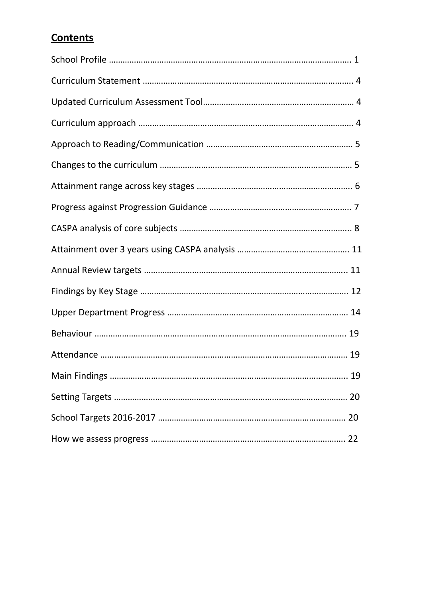## **Contents**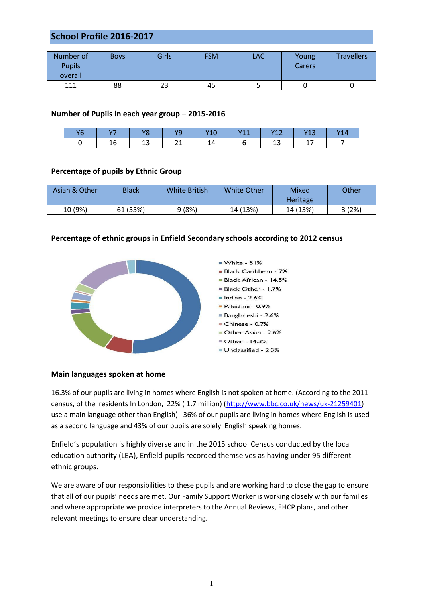#### **School Profile 2016-2017**

| Number of<br><b>Pupils</b><br>overall | <b>Boys</b> | Girls | <b>FSM</b> | LAC | Young<br>Carers | <b>Travellers</b> |
|---------------------------------------|-------------|-------|------------|-----|-----------------|-------------------|
| 111                                   | 88          | 23    | 45         |     |                 |                   |

#### **Number of Pupils in each year group – 2015-2016**

| v | .  |         | JC. | - - - | $\overline{111}$<br>. | V17<br>. | Y13           |  |
|---|----|---------|-----|-------|-----------------------|----------|---------------|--|
|   | ∸∾ | <u></u> |     | 14    |                       | --       | <u>. на с</u> |  |

#### **Percentage of pupils by Ethnic Group**

| Asian & Other | Black    | <b>White British</b> | White Other | Mixed<br><b>Heritage</b> | Other |
|---------------|----------|----------------------|-------------|--------------------------|-------|
| 10 (9%)       | 61 (55%) | 9(8%)                | 14 (13%)    | 14 (13%)                 | 3(2%) |

#### **Percentage of ethnic groups in Enfield Secondary schools according to 2012 census**



#### **Main languages spoken at home**

16.3% of our pupils are living in homes where English is not spoken at home. (According to the 2011 census, of the residents In London, 22% ( 1.7 million) [\(http://www.bbc.co.uk/news/uk-21259401\)](http://www.bbc.co.uk/news/uk-21259401) use a main language other than English) 36% of our pupils are living in homes where English is used as a second language and 43% of our pupils are solely English speaking homes.

Enfield's population is highly diverse and in the 2015 school Census conducted by the local education authority (LEA), Enfield pupils recorded themselves as having under 95 different ethnic groups.

We are aware of our responsibilities to these pupils and are working hard to close the gap to ensure that all of our pupils' needs are met. Our Family Support Worker is working closely with our families and where appropriate we provide interpreters to the Annual Reviews, EHCP plans, and other relevant meetings to ensure clear understanding.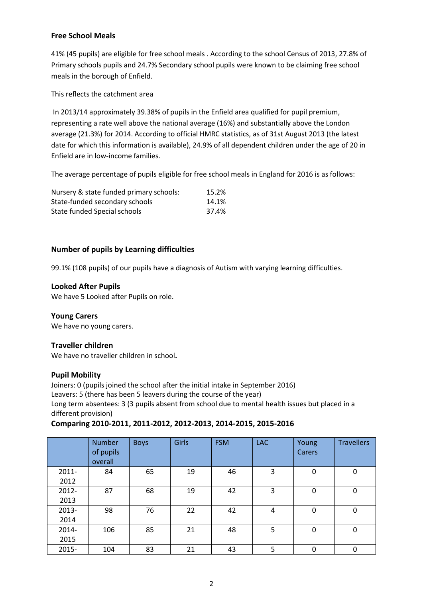#### **Free School Meals**

41% (45 pupils) are eligible for free school meals . According to the school Census of 2013, 27.8% of Primary schools pupils and 24.7% Secondary school pupils were known to be claiming free school meals in the borough of Enfield.

This reflects the catchment area

In 2013/14 approximately 39.38% of pupils in the Enfield area qualified for pupil premium, representing a rate well above the national average (16%) and substantially above the London average (21.3%) for 2014. According to official HMRC statistics, as of 31st August 2013 (the latest date for which this information is available), 24.9% of all dependent children under the age of 20 in Enfield are in low-income families.

The average percentage of pupils eligible for free school meals in England for 2016 is as follows:

| Nursery & state funded primary schools: | 15.2% |
|-----------------------------------------|-------|
| State-funded secondary schools          | 14.1% |
| State funded Special schools            | 37.4% |

#### **Number of pupils by Learning difficulties**

99.1% (108 pupils) of our pupils have a diagnosis of Autism with varying learning difficulties.

#### **Looked After Pupils**

We have 5 Looked after Pupils on role.

#### **Young Carers**

We have no young carers.

#### **Traveller children**

We have no traveller children in school**.** 

#### **Pupil Mobility**

Joiners: 0 (pupils joined the school after the initial intake in September 2016) Leavers: 5 (there has been 5 leavers during the course of the year) Long term absentees: 3 (3 pupils absent from school due to mental health issues but placed in a different provision)

#### **Comparing 2010-2011, 2011-2012, 2012-2013, 2014-2015, 2015-2016**

|       | <b>Number</b><br>of pupils<br>overall | <b>Boys</b> | Girls | <b>FSM</b> | <b>LAC</b> | Young<br>Carers | <b>Travellers</b> |
|-------|---------------------------------------|-------------|-------|------------|------------|-----------------|-------------------|
| 2011- | 84                                    | 65          | 19    | 46         | 3          | 0               | 0                 |
| 2012  |                                       |             |       |            |            |                 |                   |
| 2012- | 87                                    | 68          | 19    | 42         | 3          | 0               | 0                 |
| 2013  |                                       |             |       |            |            |                 |                   |
| 2013- | 98                                    | 76          | 22    | 42         | 4          | 0               | 0                 |
| 2014  |                                       |             |       |            |            |                 |                   |
| 2014- | 106                                   | 85          | 21    | 48         | 5          | 0               | $\mathbf 0$       |
| 2015  |                                       |             |       |            |            |                 |                   |
| 2015- | 104                                   | 83          | 21    | 43         | 5          | 0               | $\pmb{0}$         |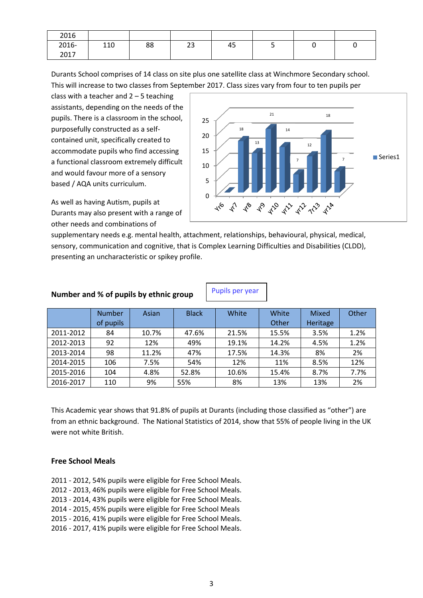| 2016  |     |    |          |    |  |   |
|-------|-----|----|----------|----|--|---|
| 2016- | 110 | 88 | วว<br>25 | 45 |  | ∼ |
| 2017  |     |    |          |    |  |   |

Durants School comprises of 14 class on site plus one satellite class at Winchmore Secondary school. This will increase to two classes from September 2017. Class sizes vary from four to ten pupils per

class with a teacher and  $2 - 5$  teaching assistants, depending on the needs of the pupils. There is a classroom in the school, purposefully constructed as a selfcontained unit, specifically created to accommodate pupils who find accessing a functional classroom extremely difficult and would favour more of a sensory based / AQA units curriculum.

As well as having Autism, pupils at Durants may also present with a range of other needs and combinations of



supplementary needs e.g. mental health, attachment, relationships, behavioural, physical, medical, sensory, communication and cognitive, that is Complex Learning Difficulties and Disabilities (CLDD), presenting an uncharacteristic or spikey profile.

#### **Number and % of pupils by ethnic group**

Pupils per year

|           | <b>Number</b> | Asian | <b>Black</b> | White | White | Mixed    | Other |
|-----------|---------------|-------|--------------|-------|-------|----------|-------|
|           | of pupils     |       |              |       | Other | Heritage |       |
| 2011-2012 | 84            | 10.7% | 47.6%        | 21.5% | 15.5% | 3.5%     | 1.2%  |
| 2012-2013 | 92            | 12%   | 49%          | 19.1% | 14.2% | 4.5%     | 1.2%  |
| 2013-2014 | 98            | 11.2% | 47%          | 17.5% | 14.3% | 8%       | 2%    |
| 2014-2015 | 106           | 7.5%  | 54%          | 12%   | 11%   | 8.5%     | 12%   |
| 2015-2016 | 104           | 4.8%  | 52.8%        | 10.6% | 15.4% | 8.7%     | 7.7%  |
| 2016-2017 | 110           | 9%    | 55%          | 8%    | 13%   | 13%      | 2%    |

This Academic year shows that 91.8% of pupils at Durants (including those classified as "other") are from an ethnic background. The National Statistics of 2014, show that 55% of people living in the UK were not white British.

#### **Free School Meals**

2011 - 2012, 54% pupils were eligible for Free School Meals. 2012 - 2013, 46% pupils were eligible for Free School Meals. 2013 - 2014, 43% pupils were eligible for Free School Meals. 2014 - 2015, 45% pupils were eligible for Free School Meals 2015 - 2016, 41% pupils were eligible for Free School Meals. 2016 - 2017, 41% pupils were eligible for Free School Meals.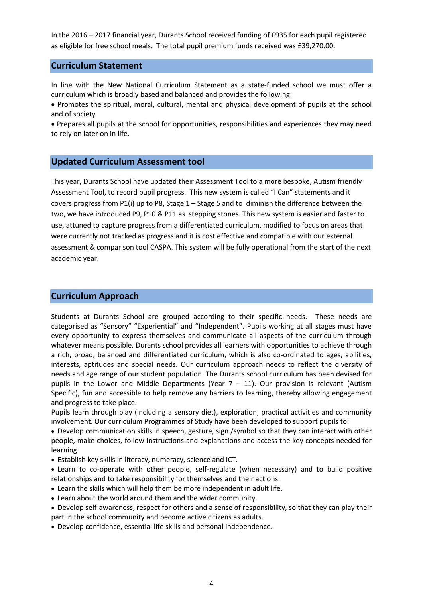In the 2016 – 2017 financial year, Durants School received funding of £935 for each pupil registered as eligible for free school meals. The total pupil premium funds received was £39,270.00.

#### **Curriculum Statement**

In line with the New National Curriculum Statement as a state-funded school we must offer a curriculum which is broadly based and balanced and provides the following:

 Promotes the spiritual, moral, cultural, mental and physical development of pupils at the school and of society

 Prepares all pupils at the school for opportunities, responsibilities and experiences they may need to rely on later on in life.

#### **Updated Curriculum Assessment tool**

This year, Durants School have updated their Assessment Tool to a more bespoke, Autism friendly Assessment Tool, to record pupil progress. This new system is called "I Can" statements and it covers progress from P1(i) up to P8, Stage 1 – Stage 5 and to diminish the difference between the two, we have introduced P9, P10 & P11 as stepping stones. This new system is easier and faster to use, attuned to capture progress from a differentiated curriculum, modified to focus on areas that were currently not tracked as progress and it is cost effective and compatible with our external assessment & comparison tool CASPA. This system will be fully operational from the start of the next academic year.

#### **Curriculum Approach**

Students at Durants School are grouped according to their specific needs. These needs are categorised as "Sensory" "Experiential" and "Independent". Pupils working at all stages must have every opportunity to express themselves and communicate all aspects of the curriculum through whatever means possible. Durants school provides all learners with opportunities to achieve through a rich, broad, balanced and differentiated curriculum, which is also co-ordinated to ages, abilities, interests, aptitudes and special needs. Our curriculum approach needs to reflect the diversity of needs and age range of our student population. The Durants school curriculum has been devised for pupils in the Lower and Middle Departments (Year  $7 - 11$ ). Our provision is relevant (Autism Specific), fun and accessible to help remove any barriers to learning, thereby allowing engagement and progress to take place.

Pupils learn through play (including a sensory diet), exploration, practical activities and community involvement. Our curriculum Programmes of Study have been developed to support pupils to:

 Develop communication skills in speech, gesture, sign /symbol so that they can interact with other people, make choices, follow instructions and explanations and access the key concepts needed for learning.

- Establish key skills in literacy, numeracy, science and ICT.
- Learn to co-operate with other people, self-regulate (when necessary) and to build positive relationships and to take responsibility for themselves and their actions.
- Learn the skills which will help them be more independent in adult life.
- Learn about the world around them and the wider community.
- Develop self-awareness, respect for others and a sense of responsibility, so that they can play their part in the school community and become active citizens as adults.
- Develop confidence, essential life skills and personal independence.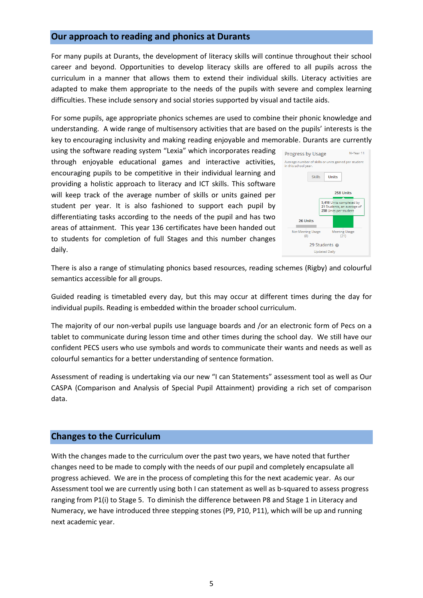#### **Our approach to reading and phonics at Durants**

For many pupils at Durants, the development of literacy skills will continue throughout their school career and beyond. Opportunities to develop literacy skills are offered to all pupils across the curriculum in a manner that allows them to extend their individual skills. Literacy activities are adapted to make them appropriate to the needs of the pupils with severe and complex learning difficulties. These include sensory and social stories supported by visual and tactile aids.

For some pupils, age appropriate phonics schemes are used to combine their phonic knowledge and understanding. A wide range of multisensory activities that are based on the pupils' interests is the key to encouraging inclusivity and making reading enjoyable and memorable. Durants are currently

using the software reading system "Lexia" which incorporates reading through enjoyable educational games and interactive activities, encouraging pupils to be competitive in their individual learning and providing a holistic approach to literacy and ICT skills. This software will keep track of the average number of skills or units gained per student per year. It is also fashioned to support each pupil by differentiating tasks according to the needs of the pupil and has two areas of attainment. This year 136 certificates have been handed out to students for completion of full Stages and this number changes daily.



There is also a range of stimulating phonics based resources, reading schemes (Rigby) and colourful semantics accessible for all groups.

Guided reading is timetabled every day, but this may occur at different times during the day for individual pupils. Reading is embedded within the broader school curriculum.

The majority of our non-verbal pupils use language boards and /or an electronic form of Pecs on a tablet to communicate during lesson time and other times during the school day. We still have our confident PECS users who use symbols and words to communicate their wants and needs as well as colourful semantics for a better understanding of sentence formation.

Assessment of reading is undertaking via our new "I can Statements" assessment tool as well as Our CASPA (Comparison and Analysis of Special Pupil Attainment) providing a rich set of comparison data.

#### **Changes to the Curriculum**

With the changes made to the curriculum over the past two years, we have noted that further changes need to be made to comply with the needs of our pupil and completely encapsulate all progress achieved. We are in the process of completing this for the next academic year. As our Assessment tool we are currently using both I can statement as well as b-squared to assess progress ranging from P1(i) to Stage 5. To diminish the difference between P8 and Stage 1 in Literacy and Numeracy, we have introduced three stepping stones (P9, P10, P11), which will be up and running next academic year.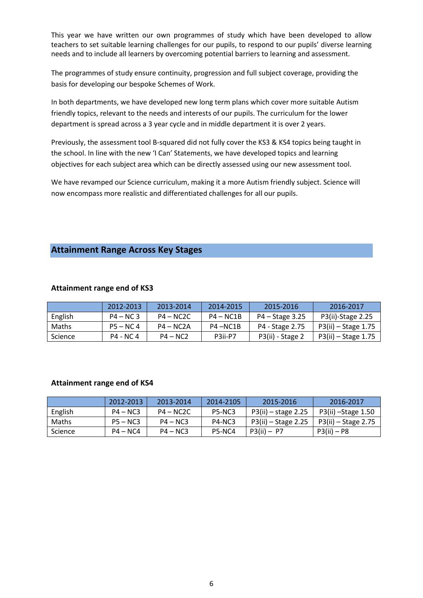This year we have written our own programmes of study which have been developed to allow teachers to set suitable learning challenges for our pupils, to respond to our pupils' diverse learning needs and to include all learners by overcoming potential barriers to learning and assessment.

The programmes of study ensure continuity, progression and full subject coverage, providing the basis for developing our bespoke Schemes of Work.

In both departments, we have developed new long term plans which cover more suitable Autism friendly topics, relevant to the needs and interests of our pupils. The curriculum for the lower department is spread across a 3 year cycle and in middle department it is over 2 years.

Previously, the assessment tool B-squared did not fully cover the KS3 & KS4 topics being taught in the school. In line with the new 'I Can' Statements, we have developed topics and learning objectives for each subject area which can be directly assessed using our new assessment tool.

We have revamped our Science curriculum, making it a more Autism friendly subject. Science will now encompass more realistic and differentiated challenges for all our pupils.

#### **Attainment Range Across Key Stages**

|                | 2012-2013   | 2013-2014   | 2014-2015   | 2015-2016         | 2016-2017           |
|----------------|-------------|-------------|-------------|-------------------|---------------------|
| English        | $P4 - NC 3$ | $P4 - NC2C$ | $P4 - NC1B$ | $P4 - Stage 3.25$ | P3(ii)-Stage 2.25   |
| <b>Maths</b>   | $P5 - NC 4$ | $P4 - NC2A$ | P4-NC1B     | P4 - Stage 2.75   | P3(ii) – Stage 1.75 |
| <b>Science</b> | P4 - NC 4   | $P4 - NC2$  | P3ii-P7     | P3(ii) - Stage 2  | P3(ii) – Stage 1.75 |

#### **Attainment range end of KS3**

#### **Attainment range end of KS4**

|         | 2012-2013  | 2013-2014   | 2014-2105                        | 2015-2016           | 2016-2017           |
|---------|------------|-------------|----------------------------------|---------------------|---------------------|
| English | $P4 - NC3$ | $P4 - NC2C$ | <b>P5-NC3</b>                    | P3(ii) – stage 2.25 | P3(ii) – Stage 1.50 |
| Maths   | $P5 - NCS$ | $P4 - N C3$ | P <sub>4</sub> -N <sub>C</sub> 3 | P3(ii) – Stage 2.25 | P3(ii) – Stage 2.75 |
| Science | $P4 - NCA$ | $P4 - NC3$  | P5-NC4                           | $P3(ii) - P7$       | $P3(ii) - P8$       |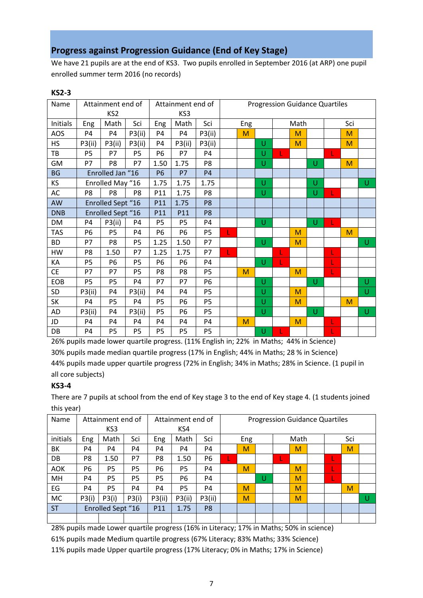#### **Progress against Progression Guidance (End of Key Stage)**

We have 21 pupils are at the end of KS3. Two pupils enrolled in September 2016 (at ARP) one pupil enrolled summer term 2016 (no records)

| Name       |                          | Attainment end of<br>KS <sub>2</sub> |                |                | Attainment end of<br>KS3 |                |     |   | <b>Progression Guidance Quartiles</b> |      |   |    |     |   |
|------------|--------------------------|--------------------------------------|----------------|----------------|--------------------------|----------------|-----|---|---------------------------------------|------|---|----|-----|---|
| Initials   | Eng                      | Math                                 | Sci            | Eng            | Math                     | Sci            | Eng |   |                                       | Math |   |    | Sci |   |
| AOS        | P <sub>4</sub>           | P <sub>4</sub>                       | P3(ii)         | P <sub>4</sub> | P <sub>4</sub>           | P3(ii)         |     | M |                                       | M    |   |    | M   |   |
| <b>HS</b>  | P3(ii)                   | P3(ii)                               | P3(ii)         | <b>P4</b>      | P3(ii)                   | P3(ii)         |     |   | U                                     | M    |   |    | M   |   |
| TB         | P <sub>5</sub>           | P7                                   | P <sub>5</sub> | P <sub>6</sub> | P7                       | P <sub>4</sub> |     |   | U                                     |      |   | L. |     |   |
| GM         | P7                       | P <sub>8</sub>                       | P7             | 1.50           | 1.75                     | P8             |     |   | U                                     |      | U |    | M   |   |
| <b>BG</b>  | Enrolled Jan "16         |                                      | <b>P6</b>      | P7             | <b>P4</b>                |                |     |   |                                       |      |   |    |     |   |
| KS         | Enrolled May "16         |                                      | 1.75           | 1.75           | 1.75                     |                |     | U |                                       | U    |   |    | U   |   |
| AC         | P <sub>8</sub>           | P <sub>8</sub>                       | P <sub>8</sub> | P11            | 1.75                     | P <sub>8</sub> |     |   | U                                     |      | U | L  |     |   |
| AW         | <b>Enrolled Sept "16</b> |                                      | P11            | 1.75           | P <sub>8</sub>           |                |     |   |                                       |      |   |    |     |   |
| <b>DNB</b> | <b>Enrolled Sept "16</b> |                                      | P11            | P11            | P <sub>8</sub>           |                |     |   |                                       |      |   |    |     |   |
| DM         | <b>P4</b>                | P3(ii)                               | P4             | P <sub>5</sub> | P <sub>5</sub>           | P <sub>4</sub> |     |   | U                                     |      | U |    |     |   |
| <b>TAS</b> | <b>P6</b>                | <b>P5</b>                            | P4             | P <sub>6</sub> | <b>P6</b>                | P <sub>5</sub> | L.  |   |                                       | M    |   |    | M   |   |
| <b>BD</b>  | P7                       | P8                                   | <b>P5</b>      | 1.25           | 1.50                     | P7             |     |   | U                                     | M    |   |    |     | U |
| HW         | P <sub>8</sub>           | 1.50                                 | P7             | 1.25           | 1.75                     | P7             |     |   |                                       |      |   | L  |     |   |
| КA         | P <sub>5</sub>           | P <sub>6</sub>                       | P <sub>5</sub> | P <sub>6</sub> | P <sub>6</sub>           | P4             |     |   | U                                     |      |   | L  |     |   |
| <b>CE</b>  | P7                       | P7                                   | P <sub>5</sub> | P <sub>8</sub> | P8                       | P <sub>5</sub> |     | M |                                       | M    |   | T. |     |   |
| EOB        | P <sub>5</sub>           | P <sub>5</sub>                       | P <sub>4</sub> | P7             | P7                       | P <sub>6</sub> |     |   | U                                     |      | U |    |     | U |
| SD         | P3(ii)                   | P <sub>4</sub>                       | P3(ii)         | P <sub>4</sub> | P <sub>4</sub>           | P <sub>5</sub> |     |   | U                                     | M    |   |    |     | U |
| SK         | P <sub>4</sub>           | <b>P5</b>                            | P4             | <b>P5</b>      | <b>P6</b>                | P <sub>5</sub> |     |   | U                                     | M    |   |    | M   |   |
| AD         | P3(ii)                   | P <sub>4</sub>                       | P3(ii)         | <b>P5</b>      | <b>P6</b>                | <b>P5</b>      |     |   | U                                     |      | U |    |     | U |
| JD         | <b>P4</b>                | P4                                   | P4             | P <sub>4</sub> | P <sub>4</sub>           | P <sub>4</sub> |     | M |                                       | M    |   | L  |     |   |
| DB         | P <sub>4</sub>           | P <sub>5</sub>                       | P <sub>5</sub> | P <sub>5</sub> | P <sub>5</sub>           | P <sub>5</sub> |     |   | Ù                                     |      |   |    |     |   |

26% pupils made lower quartile progress. (11% English in; 22% in Maths; 44% in Science) 30% pupils made median quartile progress (17% in English; 44% in Maths; 28 % in Science) 44% pupils made upper quartile progress (72% in English; 34% in Maths; 28% in Science. (1 pupil in all core subjects)

#### **KS3-4**

**KS2-3** 

There are 7 pupils at school from the end of Key stage 3 to the end of Key stage 4. (1 students joined this year)

| Name       |                | Attainment end of        |                |                 | Attainment end of |                |   |     |   |      | <b>Progression Guidance Quartiles</b> |  |     |   |   |
|------------|----------------|--------------------------|----------------|-----------------|-------------------|----------------|---|-----|---|------|---------------------------------------|--|-----|---|---|
|            |                | KS3                      |                |                 | KS4               |                |   |     |   |      |                                       |  |     |   |   |
| initials   | Eng            | Math                     | Sci            | Eng             | Math              | Sci            |   | Eng |   | Math |                                       |  | Sci |   |   |
| BK         | P4             | P4                       | P4             | P4              | P4                | P4             | M |     |   |      | M                                     |  | M   |   |   |
| DB         | P <sub>8</sub> | 1.50                     | P7             | P8              | 1.50              | P <sub>6</sub> |   |     |   | L    |                                       |  |     |   |   |
| <b>AOK</b> | <b>P6</b>      | P <sub>5</sub>           | P <sub>5</sub> | P6              | P5                | P <sub>4</sub> |   | M   |   |      | M                                     |  |     |   |   |
| MH         | P4             | P <sub>5</sub>           | P <sub>5</sub> | <b>P5</b>       | P6                | P4             |   |     | U |      | M                                     |  | L.  |   |   |
| EG         | P4             | P <sub>5</sub>           | P4             | P4              | P5                | P4             |   | M   |   |      | M                                     |  |     | M |   |
| <b>MC</b>  | P3(i)          | P3(i)                    | P3(i)          | P3(ii)          | P3(ii)            | P3(ii)         |   | M   |   |      | M                                     |  |     |   | U |
| <b>ST</b>  |                | <b>Enrolled Sept "16</b> |                | P <sub>11</sub> | 1.75              | P <sub>8</sub> |   |     |   |      |                                       |  |     |   |   |
|            |                |                          |                |                 |                   |                |   |     |   |      |                                       |  |     |   |   |

28% pupils made Lower quartile progress (16% in Literacy; 17% in Maths; 50% in science)

61% pupils made Medium quartile progress (67% Literacy; 83% Maths; 33% Science)

11% pupils made Upper quartile progress (17% Literacy; 0% in Maths; 17% in Science)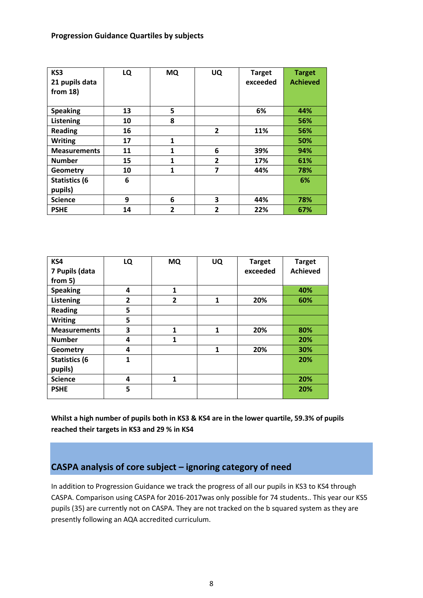**Progression Guidance Quartiles by subjects**

| KS3<br>21 pupils data<br>from $18$ ) | LQ | <b>MQ</b>      | UQ             | <b>Target</b><br>exceeded | <b>Target</b><br><b>Achieved</b> |
|--------------------------------------|----|----------------|----------------|---------------------------|----------------------------------|
| <b>Speaking</b>                      | 13 | 5              |                | 6%                        | 44%                              |
| Listening                            | 10 | 8              |                |                           | 56%                              |
| <b>Reading</b>                       | 16 |                | $\overline{2}$ | 11%                       | 56%                              |
| <b>Writing</b>                       | 17 | 1              |                |                           | 50%                              |
| <b>Measurements</b>                  | 11 | 1              | 6              | 39%                       | 94%                              |
| <b>Number</b>                        | 15 | 1              | 2              | 17%                       | 61%                              |
| Geometry                             | 10 | 1              | 7              | 44%                       | 78%                              |
| <b>Statistics (6</b>                 | 6  |                |                |                           | 6%                               |
| pupils)                              |    |                |                |                           |                                  |
| <b>Science</b>                       | 9  | 6              | 3              | 44%                       | 78%                              |
| <b>PSHE</b>                          | 14 | $\overline{2}$ | $\overline{2}$ | 22%                       | 67%                              |

| KS4                  | LQ | <b>MQ</b>    | UQ | <b>Target</b> | <b>Target</b>   |
|----------------------|----|--------------|----|---------------|-----------------|
| 7 Pupils (data       |    |              |    | exceeded      | <b>Achieved</b> |
| from 5)              |    |              |    |               |                 |
| <b>Speaking</b>      | 4  | $\mathbf{1}$ |    |               | 40%             |
| Listening            | 2  | $\mathbf{2}$ | 1  | 20%           | 60%             |
| <b>Reading</b>       | 5  |              |    |               |                 |
| <b>Writing</b>       | 5  |              |    |               |                 |
| <b>Measurements</b>  | 3  | $\mathbf{1}$ | 1  | 20%           | 80%             |
| <b>Number</b>        | 4  | $\mathbf{1}$ |    |               | 20%             |
| Geometry             | 4  |              | 1  | 20%           | 30%             |
| <b>Statistics (6</b> | 1  |              |    |               | 20%             |
| pupils)              |    |              |    |               |                 |
| <b>Science</b>       | 4  | 1            |    |               | 20%             |
| <b>PSHE</b>          | 5  |              |    |               | 20%             |
|                      |    |              |    |               |                 |

**Whilst a high number of pupils both in KS3 & KS4 are in the lower quartile, 59.3% of pupils reached their targets in KS3 and 29 % in KS4**

#### **CASPA analysis of core subject – ignoring category of need**

In addition to Progression Guidance we track the progress of all our pupils in KS3 to KS4 through CASPA. Comparison using CASPA for 2016-2017was only possible for 74 students.. This year our KS5 pupils (35) are currently not on CASPA. They are not tracked on the b squared system as they are presently following an AQA accredited curriculum.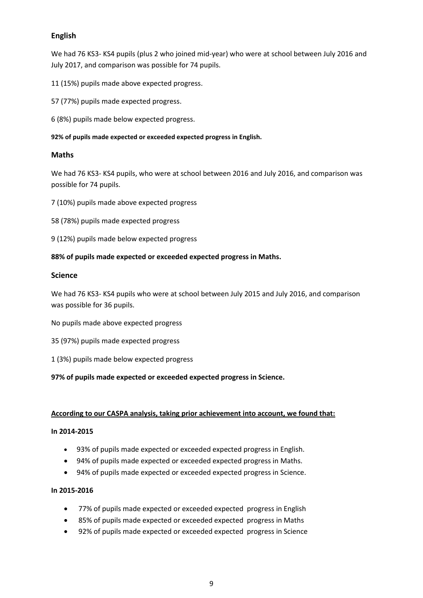#### **English**

We had 76 KS3- KS4 pupils (plus 2 who joined mid-year) who were at school between July 2016 and July 2017, and comparison was possible for 74 pupils.

11 (15%) pupils made above expected progress.

57 (77%) pupils made expected progress.

6 (8%) pupils made below expected progress.

**92% of pupils made expected or exceeded expected progress in English.** 

#### **Maths**

We had 76 KS3- KS4 pupils, who were at school between 2016 and July 2016, and comparison was possible for 74 pupils.

- 7 (10%) pupils made above expected progress
- 58 (78%) pupils made expected progress
- 9 (12%) pupils made below expected progress

#### **88% of pupils made expected or exceeded expected progress in Maths.**

#### **Science**

We had 76 KS3- KS4 pupils who were at school between July 2015 and July 2016, and comparison was possible for 36 pupils.

No pupils made above expected progress

- 35 (97%) pupils made expected progress
- 1 (3%) pupils made below expected progress

#### **97% of pupils made expected or exceeded expected progress in Science.**

#### **According to our CASPA analysis, taking prior achievement into account, we found that:**

#### **In 2014-2015**

- 93% of pupils made expected or exceeded expected progress in English.
- 94% of pupils made expected or exceeded expected progress in Maths.
- 94% of pupils made expected or exceeded expected progress in Science.

#### **In 2015-2016**

- 77% of pupils made expected or exceeded expected progress in English
- 85% of pupils made expected or exceeded expected progress in Maths
- 92% of pupils made expected or exceeded expected progress in Science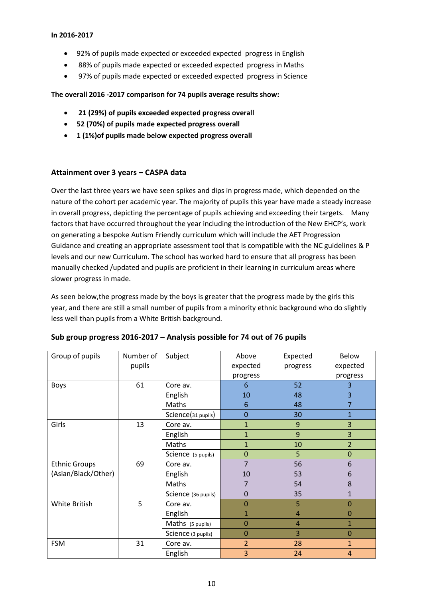#### **In 2016-2017**

- 92% of pupils made expected or exceeded expected progress in English
- 88% of pupils made expected or exceeded expected progress in Maths
- 97% of pupils made expected or exceeded expected progress in Science

**The overall 2016 -2017 comparison for 74 pupils average results show:**

- **21 (29%) of pupils exceeded expected progress overall**
- **52 (70%) of pupils made expected progress overall**
- **1 (1%)of pupils made below expected progress overall**

#### **Attainment over 3 years – CASPA data**

Over the last three years we have seen spikes and dips in progress made, which depended on the nature of the cohort per academic year. The majority of pupils this year have made a steady increase in overall progress, depicting the percentage of pupils achieving and exceeding their targets. Many factors that have occurred throughout the year including the introduction of the New EHCP's, work on generating a bespoke Autism Friendly curriculum which will include the AET Progression Guidance and creating an appropriate assessment tool that is compatible with the NC guidelines & P levels and our new Curriculum. The school has worked hard to ensure that all progress has been manually checked /updated and pupils are proficient in their learning in curriculum areas where slower progress in made.

As seen below,the progress made by the boys is greater that the progress made by the girls this year, and there are still a small number of pupils from a minority ethnic background who do slightly less well than pupils from a White British background.

| Group of pupils      | Number of | Subject             | Above          | Expected       | <b>Below</b>   |
|----------------------|-----------|---------------------|----------------|----------------|----------------|
|                      | pupils    |                     | expected       | progress       | expected       |
|                      |           |                     | progress       |                | progress       |
| Boys                 | 61        | Core av.            | 6              | 52             | 3              |
|                      |           | English             | 10             | 48             | 3              |
|                      |           | Maths               | 6              | 48             | 7              |
|                      |           | Science(31 pupils)  | 0              | 30             | $\overline{1}$ |
| Girls                | 13        | Core av.            | $\mathbf{1}$   | 9              | 3              |
|                      |           | English             | $\mathbf{1}$   | 9              | 3              |
|                      |           | Maths               | $\mathbf{1}$   | 10             | $\overline{2}$ |
|                      |           | Science (5 pupils)  | $\mathbf 0$    | 5              | $\pmb{0}$      |
| <b>Ethnic Groups</b> | 69        | Core av.            | $\overline{7}$ | 56             | 6              |
| (Asian/Black/Other)  |           | English             | 10             | 53             | 6              |
|                      |           | Maths               | $\overline{7}$ | 54             | 8              |
|                      |           | Science (36 pupils) | 0              | 35             | $\mathbf{1}$   |
| White British        | 5         | Core av.            | 0              | 5              | $\Omega$       |
|                      |           | English             | 1              | $\overline{4}$ | 0              |
|                      |           | Maths (5 pupils)    | 0              | 4              | $\mathbf{1}$   |
|                      |           | Science (3 pupils)  | 0              | 3              | 0              |
| <b>FSM</b>           | 31        | Core av.            | $\overline{2}$ | 28             | $\mathbf{1}$   |
|                      |           | English             | 3              | 24             | $\overline{4}$ |

#### **Sub group progress 2016-2017 – Analysis possible for 74 out of 76 pupils**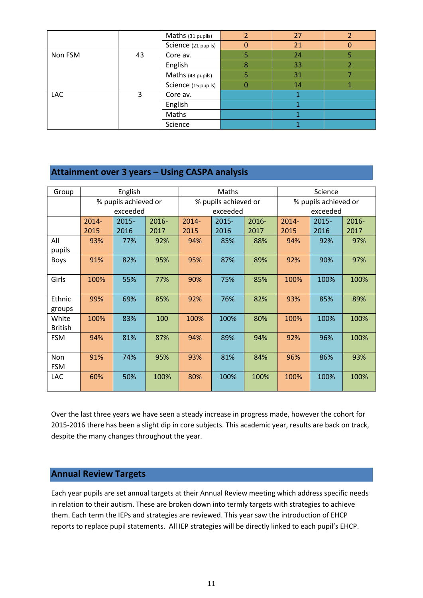|         |    | Maths (31 pupils)   | 27 |  |
|---------|----|---------------------|----|--|
|         |    | Science (21 pupils) | 21 |  |
| Non FSM | 43 | Core av.            | 24 |  |
|         |    | English             | 33 |  |
|         |    | Maths (43 pupils)   | 31 |  |
|         |    | Science (15 pupils) | 14 |  |
| LAC     | 3  | Core av.            |    |  |
|         |    | English             |    |  |
|         |    | Maths               |    |  |
|         |    | Science             |    |  |

#### **Attainment over 3 years – Using CASPA analysis**

| Group          |          | English              |          |                      | Maths    |                      | Science  |          |       |
|----------------|----------|----------------------|----------|----------------------|----------|----------------------|----------|----------|-------|
|                |          | % pupils achieved or |          | % pupils achieved or |          | % pupils achieved or |          |          |       |
|                |          | exceeded             |          |                      | exceeded |                      |          | exceeded |       |
|                | $2014 -$ | $2015 -$             | $2016 -$ | 2014-                | 2015-    | 2016-                | $2014 -$ | $2015 -$ | 2016- |
|                | 2015     | 2016                 | 2017     | 2015                 | 2016     | 2017                 | 2015     | 2016     | 2017  |
| All            | 93%      | 77%                  | 92%      | 94%                  | 85%      | 88%                  | 94%      | 92%      | 97%   |
| pupils         |          |                      |          |                      |          |                      |          |          |       |
| <b>Boys</b>    | 91%      | 82%                  | 95%      | 95%                  | 87%      | 89%                  | 92%      | 90%      | 97%   |
|                |          |                      |          |                      |          |                      |          |          |       |
| Girls          | 100%     | 55%                  | 77%      | 90%                  | 75%      | 85%                  | 100%     | 100%     | 100%  |
|                |          |                      |          |                      |          |                      |          |          |       |
| Ethnic         | 99%      | 69%                  | 85%      | 92%                  | 76%      | 82%                  | 93%      | 85%      | 89%   |
| groups         |          |                      |          |                      |          |                      |          |          |       |
| White          | 100%     | 83%                  | 100      | 100%                 | 100%     | 80%                  | 100%     | 100%     | 100%  |
| <b>British</b> |          |                      |          |                      |          |                      |          |          |       |
| <b>FSM</b>     | 94%      | 81%                  | 87%      | 94%                  | 89%      | 94%                  | 92%      | 96%      | 100%  |
|                |          |                      |          |                      |          |                      |          |          |       |
| Non            | 91%      | 74%                  | 95%      | 93%                  | 81%      | 84%                  | 96%      | 86%      | 93%   |
| <b>FSM</b>     |          |                      |          |                      |          |                      |          |          |       |
| LAC            | 60%      | 50%                  | 100%     | 80%                  | 100%     | 100%                 | 100%     | 100%     | 100%  |
|                |          |                      |          |                      |          |                      |          |          |       |

Over the last three years we have seen a steady increase in progress made, however the cohort for 2015-2016 there has been a slight dip in core subjects. This academic year, results are back on track, despite the many changes throughout the year.

#### **Annual Review Targets**

Each year pupils are set annual targets at their Annual Review meeting which address specific needs in relation to their autism. These are broken down into termly targets with strategies to achieve them. Each term the IEPs and strategies are reviewed. This year saw the introduction of EHCP reports to replace pupil statements. All IEP strategies will be directly linked to each pupil's EHCP.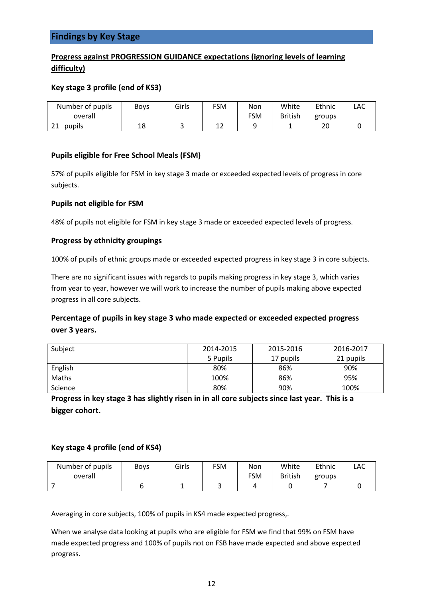#### **Findings by Key Stage**

#### **Progress against PROGRESSION GUIDANCE expectations (ignoring levels of learning difficulty)**

#### **Key stage 3 profile (end of KS3)**

| Number of pupils | <b>Boys</b> | Girls | FSM | Non        | White          | Ethnic | LAC |
|------------------|-------------|-------|-----|------------|----------------|--------|-----|
| overall          |             |       |     | <b>FSM</b> | <b>British</b> | groups |     |
| pupils<br>2T     | 18          |       | ∸∸  |            | - 11           | 20     |     |

#### **Pupils eligible for Free School Meals (FSM)**

57% of pupils eligible for FSM in key stage 3 made or exceeded expected levels of progress in core subjects.

#### **Pupils not eligible for FSM**

48% of pupils not eligible for FSM in key stage 3 made or exceeded expected levels of progress.

#### **Progress by ethnicity groupings**

100% of pupils of ethnic groups made or exceeded expected progress in key stage 3 in core subjects.

There are no significant issues with regards to pupils making progress in key stage 3, which varies from year to year, however we will work to increase the number of pupils making above expected progress in all core subjects.

#### **Percentage of pupils in key stage 3 who made expected or exceeded expected progress over 3 years.**

| Subject | 2014-2015 | 2015-2016 | 2016-2017 |
|---------|-----------|-----------|-----------|
|         | 5 Pupils  | 17 pupils | 21 pupils |
| English | 80%       | 86%       | 90%       |
| Maths   | 100%      | 86%       | 95%       |
| Science | 80%       | 90%       | 100%      |

**Progress in key stage 3 has slightly risen in in all core subjects since last year. This is a bigger cohort.**

#### **Key stage 4 profile (end of KS4)**

| Number of pupils | Boys | Girls | <b>FSM</b> | Non | White          | Ethnic | LAC |
|------------------|------|-------|------------|-----|----------------|--------|-----|
| overall          |      |       |            | FSM | <b>British</b> | groups |     |
|                  |      |       | ັ          |     |                |        |     |

Averaging in core subjects, 100% of pupils in KS4 made expected progress,.

When we analyse data looking at pupils who are eligible for FSM we find that 99% on FSM have made expected progress and 100% of pupils not on FSB have made expected and above expected progress.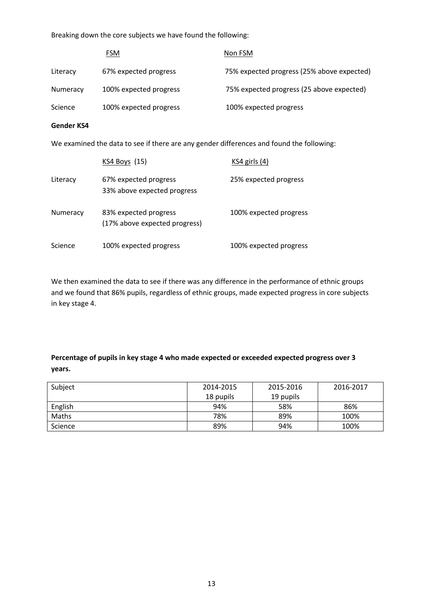Breaking down the core subjects we have found the following:

|          | <b>FSM</b>             | Non FSM                                    |
|----------|------------------------|--------------------------------------------|
| Literacy | 67% expected progress  | 75% expected progress (25% above expected) |
| Numeracy | 100% expected progress | 75% expected progress (25 above expected)  |
| Science  | 100% expected progress | 100% expected progress                     |

#### **Gender KS4**

We examined the data to see if there are any gender differences and found the following:

|          | KS4 Boys (15)                                          | $KS4$ girls $(4)$      |
|----------|--------------------------------------------------------|------------------------|
| Literacy | 67% expected progress<br>33% above expected progress   | 25% expected progress  |
| Numeracy | 83% expected progress<br>(17% above expected progress) | 100% expected progress |
| Science  | 100% expected progress                                 | 100% expected progress |

We then examined the data to see if there was any difference in the performance of ethnic groups and we found that 86% pupils, regardless of ethnic groups, made expected progress in core subjects in key stage 4.

#### **Percentage of pupils in key stage 4 who made expected or exceeded expected progress over 3 years.**

| Subject | 2014-2015 | 2015-2016 | 2016-2017 |
|---------|-----------|-----------|-----------|
|         | 18 pupils | 19 pupils |           |
| English | 94%       | 58%       | 86%       |
| Maths   | 78%       | 89%       | 100%      |
| Science | 89%       | 94%       | 100%      |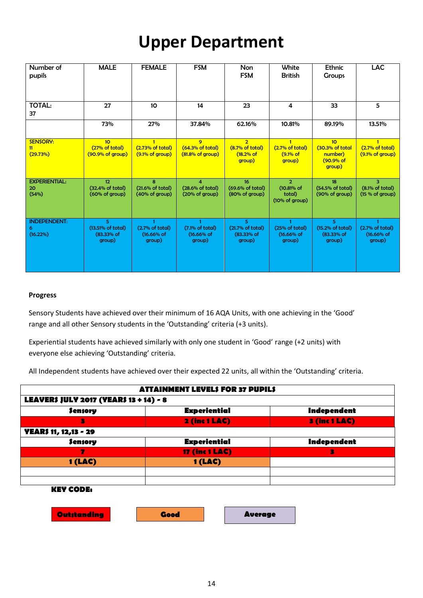## **Upper Department**

| Number of<br>pupils                  | <b>MALE</b>                                           | <b>FEMALE</b>                                           | <b>FSM</b>                                                | <b>Non</b><br><b>FSM</b>                                 | White<br><b>British</b>                                  | <b>Ethnic</b><br><b>Groups</b>                                       | <b>LAC</b>                                                    |
|--------------------------------------|-------------------------------------------------------|---------------------------------------------------------|-----------------------------------------------------------|----------------------------------------------------------|----------------------------------------------------------|----------------------------------------------------------------------|---------------------------------------------------------------|
| <b>TOTAL:</b><br>37                  | 27                                                    | 10 <sup>10</sup>                                        | 14                                                        | 23                                                       | 4                                                        | 33                                                                   | 5                                                             |
|                                      | 73%                                                   | 27%                                                     | 37.84%                                                    | 62.16%                                                   | 10.81%                                                   | 89.19%                                                               | 13.51%                                                        |
| <b>SENSORY:</b><br>11<br>(29.73%)    | 10 <sub>2</sub><br>(27% of total)<br>(90.9% of group) | (2.73% of total)<br>$(9.1\% \text{ of group})$          | 9<br>(64.3% of total)<br>$(81.8\% \text{ of group})$      | $\overline{2}$<br>(8.7% of total)<br>(18.2% of<br>group) | $\mathbf{1}$<br>(2.7% of total)<br>(9.1% of<br>group)    | 10 <sup>2</sup><br>(30.3% of total<br>number)<br>(90.9% of<br>group) | $\mathbf{1}$<br>(2.7% of total)<br>$(9.1\% \text{ of group})$ |
| <b>EXPERIENTIAL:</b><br>20<br>(54%)  | 12<br>(32.4% of total)<br>(60% of group)              | 8<br>$(21.6\% \text{ of total})$<br>(40% of group)      | $\overline{a}$<br>(28.6% of total)<br>(20% of group)      | 16<br>(69.6% of total)<br>(80% of group)                 | $\overline{2}$<br>(10.81% of<br>total)<br>(10% of group) | 18<br>(54.5% of total)<br>(90% of group)                             | 3.<br>(8.1% of total)<br>(15 % of group)                      |
| <b>INDEPENDENT:</b><br>6<br>(16.22%) | 5.<br>(13.51% of total)<br>(83.33% of<br>group)       | $\mathbf{1}$<br>(2.7% of total)<br>(16.66% of<br>group) | $\mathbf{1}$<br>(7.1% of total)<br>$(16.66%$ of<br>group) | 5.<br>(21.7% of total)<br>(83.33% of<br>group)           | $\mathbf{1}$<br>(25% of total)<br>$(16.66%$ of<br>group) | 5.<br>(15.2% of total)<br>$(83.33%$ of<br>group)                     | (2.7% of total)<br>$(16.66%$ of<br>group)                     |

#### **Progress**

Sensory Students have achieved over their minimum of 16 AQA Units, with one achieving in the 'Good' range and all other Sensory students in the 'Outstanding' criteria (+3 units).

Experiential students have achieved similarly with only one student in 'Good' range (+2 units) with everyone else achieving 'Outstanding' criteria.

All Independent students have achieved over their expected 22 units, all within the 'Outstanding' criteria.

|                                                | <b>ATTAINMENT LEVELS FOR 37 PUPILS</b> |                                       |             |  |  |  |  |  |
|------------------------------------------------|----------------------------------------|---------------------------------------|-------------|--|--|--|--|--|
| <b>LEAVER\$ JULY 2017 (YEAR\$ 13 + 14) - 8</b> |                                        |                                       |             |  |  |  |  |  |
| <b>Sensory</b>                                 | <b>Experiential</b>                    |                                       | Independent |  |  |  |  |  |
| в                                              |                                        | 2 (inc 1 LAC)<br><b>3 (inc 1 LAC)</b> |             |  |  |  |  |  |
| <b>YEAR\$ 11, 12,13 - 29</b>                   |                                        |                                       |             |  |  |  |  |  |
| <b>Sensory</b>                                 | <b>Experiential</b><br>Independent     |                                       |             |  |  |  |  |  |
| 7                                              | <b>17 (inc 1 LAC)</b>                  |                                       | 3           |  |  |  |  |  |
| 1(LAC)                                         | 1(LAC)                                 |                                       |             |  |  |  |  |  |
|                                                |                                        |                                       |             |  |  |  |  |  |
|                                                |                                        |                                       |             |  |  |  |  |  |
| <b>KEY CODE:</b>                               |                                        |                                       |             |  |  |  |  |  |
|                                                |                                        |                                       |             |  |  |  |  |  |
| <b>Outstanding</b>                             | Good                                   | <b>Average</b>                        |             |  |  |  |  |  |
|                                                |                                        |                                       |             |  |  |  |  |  |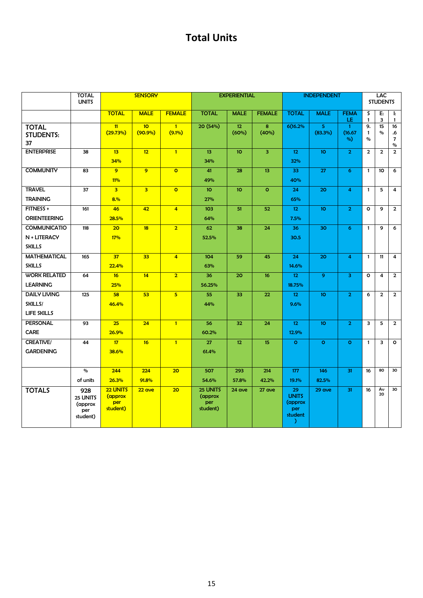## **Total Units**

|                                                      | <b>TOTAL</b><br><b>UNITS</b>                  |                                        | <b>SENSORY</b>                |                           |                                        | <b>EXPERIENTIAL</b>      |                 | <b>INDEPENDENT</b>                                   |                 | LAC<br><b>STUDENTS</b>        |                            |                         |                                    |
|------------------------------------------------------|-----------------------------------------------|----------------------------------------|-------------------------------|---------------------------|----------------------------------------|--------------------------|-----------------|------------------------------------------------------|-----------------|-------------------------------|----------------------------|-------------------------|------------------------------------|
|                                                      |                                               | <b>TOTAL</b>                           | <b>MALE</b>                   | <b>FEMALE</b>             | <b>TOTAL</b>                           | <b>MALE</b>              | <b>FEMALE</b>   | <b>TOTAL</b>                                         | <b>MALE</b>     | <b>FEMA</b><br>LE.            | S<br>$\mathbf{1}$          | E:<br>3                 | $\mathbf{I}$ :<br>$\mathbf{1}$     |
| <b>TOTAL</b><br><b>STUDENTS:</b><br>37               |                                               | 11<br>(29.73%)                         | 10 <sub>o</sub><br>$(90.9\%)$ | $\mathbf{1}$<br>$(9.1\%)$ | 20 (54%)                               | 12 <sub>2</sub><br>(60%) | 8<br>(40%)      | 6(16.2%                                              | 5<br>(83.3%)    | $\mathbf{1}$<br>(16.67)<br>%) | 9.<br>$\mathbf{1}$<br>$\%$ | 15<br>$\%$              | 16<br>.6<br>$\overline{7}$<br>$\%$ |
| <b>ENTERPRISE</b>                                    | 38                                            | 13<br>34%                              | 12                            | $\overline{1}$            | 13<br>34%                              | 10 <sup>°</sup>          | 3               | 12 <sub>12</sub><br>32%                              | 10 <sup>°</sup> | $\overline{2}$                | $\overline{2}$             | $\overline{2}$          | $\overline{2}$                     |
| <b>COMMUNITY</b>                                     | 83                                            | $\overline{9}$<br>11%                  | 9                             | $\overline{O}$            | 41<br>49%                              | 28                       | 13 <sup>°</sup> | 33<br>40%                                            | 27              | 6                             | $\mathbf{1}$               | 10                      | 6                                  |
| <b>TRAVEL</b><br><b>TRAINING</b>                     | 37                                            | $\overline{\mathbf{3}}$<br>8.%         | $\overline{\mathbf{3}}$       | $\circ$                   | 10 <sub>o</sub><br>27%                 | 10 <sub>o</sub>          | $\circ$         | 24<br>65%                                            | 20              | 4                             | $\mathbf{1}$               | 5                       | $\overline{\mathbf{4}}$            |
| FITNESS +<br><b>ORIENTEERING</b>                     | 161                                           | 46<br>28.5%                            | 42                            | $\overline{4}$            | 103<br>64%                             | 51                       | 52              | 12 <sub>2</sub><br>7.5%                              | 10 <sup>°</sup> | $\overline{2}$                | $\circ$                    | 9                       | $\overline{2}$                     |
| <b>COMMUNICATIO</b><br>N + LITERACY<br><b>SKILLS</b> | 118                                           | 20<br>17%                              | 18                            | $\overline{2}$            | 62<br>52.5%                            | 38                       | 24              | 36<br>30.5                                           | 30              | 6                             | $\mathbf{1}$               | 9                       | 6                                  |
| <b>MATHEMATICAL</b><br><b>SKILLS</b>                 | 165                                           | 37<br>22.4%                            | 33                            | $\overline{4}$            | 104<br>63%                             | 59                       | 45              | 24<br>14.6%                                          | 20              | 4                             | $\mathbf{1}$               | 11                      | $\overline{4}$                     |
| <b>WORK RELATED</b><br><b>LEARNING</b>               | 64                                            | 16<br>25%                              | 14                            | $\overline{2}$            | 36<br>56.25%                           | 20                       | 16              | 12 <sub>12</sub><br>18.75%                           | $\overline{9}$  | $\overline{\mathbf{3}}$       | $\circ$                    | $\overline{\mathbf{4}}$ | $\overline{2}$                     |
| <b>DAILY LIVING</b><br>SKILLS/<br><b>LIFE SKILLS</b> | 125                                           | 58<br>46.4%                            | 53                            | 5 <sup>5</sup>            | 55<br>44%                              | 33                       | 22              | 12 <sub>12</sub><br>9.6%                             | 10 <sub>o</sub> | $\overline{2}$                | 6                          | $\overline{2}$          | $\overline{2}$                     |
| <b>PERSONAL</b><br><b>CARE</b>                       | 93                                            | 25<br>26.9%                            | 24                            | $\overline{1}$            | 56<br>60.2%                            | 32                       | 24              | 12 <sub>12</sub><br>12.9%                            | 10 <sub>o</sub> | $\overline{2}$                | 3                          | 5                       | $\overline{2}$                     |
| <b>CREATIVE/</b><br><b>GARDENING</b>                 | 44                                            | 17<br>38.6%                            | 16                            | $\overline{1}$            | 27<br>61.4%                            | 12 <sub>2</sub>          | 15              | $\circ$                                              | $\circ$         | $\circ$                       | $\mathbf{1}$               | 3                       | $\circ$                            |
|                                                      | $\%$<br>of units                              | 244<br>26.3%                           | 224<br>91.8%                  | 20                        | 507<br>54.6%                           | 293<br>57.8%             | 214<br>42.2%    | 177<br>19.1%                                         | 146<br>82.5%    | 31                            | 16                         | 80                      | 30                                 |
| <b>TOTALS</b>                                        | 928<br>25 UNITS<br>(approx<br>per<br>student) | 22 UNITS<br>(approx<br>per<br>student) | 22 ave                        | 20                        | 25 UNITS<br>(approx<br>per<br>student) | 24 ave                   | 27 ave          | 29<br><b>UNITS</b><br>(approx<br>per<br>student<br>Υ | 29 ave          | 31                            | 16                         | Av<br>20                | 30                                 |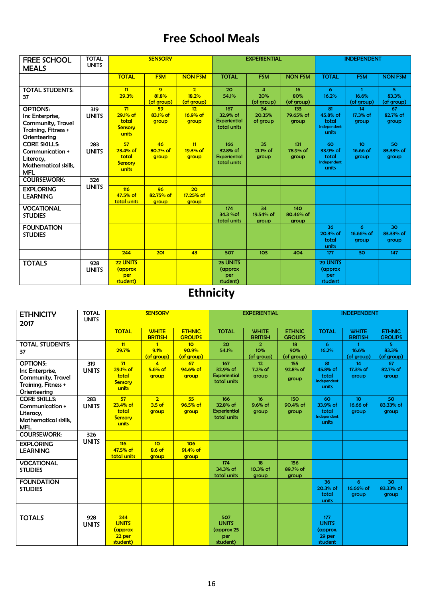## **Free School Meals**

| <b>FREE SCHOOL</b><br><b>MEALS</b>                                                             | <b>TOTAL</b><br><b>UNITS</b> |                                                    | <b>SENSORY</b>           |                                       | <b>EXPERIENTIAL</b>                            |                                              |                           | <b>INDEPENDENT</b>                              |                                      |                           |  |
|------------------------------------------------------------------------------------------------|------------------------------|----------------------------------------------------|--------------------------|---------------------------------------|------------------------------------------------|----------------------------------------------|---------------------------|-------------------------------------------------|--------------------------------------|---------------------------|--|
|                                                                                                |                              | <b>TOTAL</b>                                       | <b>FSM</b>               | <b>NON FSM</b>                        | <b>TOTAL</b>                                   | <b>FSM</b>                                   | <b>NON FSM</b>            | <b>TOTAL</b>                                    | <b>FSM</b>                           | <b>NON FSM</b>            |  |
| <b>TOTAL STUDENTS:</b><br>37                                                                   |                              | 11<br>29.3%                                        | 9<br>81.8%<br>(of group) | $\overline{2}$<br>18.2%<br>(of group) | 20<br>54.1%                                    | $\overline{\mathbf{4}}$<br>20%<br>(of group) | 16<br>80%<br>(of group)   | 6<br>16.2%                                      | $\mathbf{1}$<br>16.6%<br>(of group)  | 5.<br>83.3%<br>(of group) |  |
| <b>OPTIONS:</b><br>Inc Enterprise,<br>Community, Travel<br>Training, Fitness +<br>Orienteering | 319<br><b>UNITS</b>          | 71<br>29.1% of<br>total<br><b>Sensory</b><br>units | 59<br>83.1% of<br>group  | 12<br>16.9% of<br>group               | 167<br>32.9% of<br>Experiential<br>total units | 34<br>20.35%<br>of group                     | 133<br>79.65% of<br>group | 81<br>45.8% of<br>total<br>Independent<br>units | 14<br>17.3% of<br>group              | 67<br>82.7% of<br>group   |  |
| <b>CORE SKILLS:</b><br>Communication +<br>Literacy,<br>Mathematical skills.<br><b>MFL</b>      | 283<br><b>UNITS</b>          | 57<br>$23.4%$ of<br>total<br>Sensory<br>units      | 46<br>80.7% of<br>group  | 11<br>19.3% of<br>group               | 166<br>32.8% of<br>Experiential<br>total units | 35<br>21.1% of<br>group                      | 131<br>78.9% of<br>group  | 60<br>33.9% of<br>total<br>Independent<br>units | 10 <sup>°</sup><br>16.66 of<br>group | 50<br>83.33% of<br>group  |  |
| <b>COURSEWORK:</b>                                                                             | 326                          |                                                    |                          |                                       |                                                |                                              |                           |                                                 |                                      |                           |  |
| <b>EXPLORING</b><br><b>LEARNING</b>                                                            | <b>UNITS</b>                 | 116<br>47.5% of<br>total units                     | 96<br>82.75% of<br>group | 20<br>17.25% of<br>group              |                                                |                                              |                           |                                                 |                                      |                           |  |
| <b>VOCATIONAL</b><br><b>STUDIES</b>                                                            |                              |                                                    |                          |                                       | 174<br>34.3 % of<br>total units                | 34<br>19.54% of<br>group                     | 140<br>80.46% of<br>group |                                                 |                                      |                           |  |
| <b>FOUNDATION</b><br><b>STUDIES</b>                                                            |                              |                                                    |                          |                                       |                                                |                                              |                           | 36<br>20.3% of<br>total<br>units                | 6<br>16.66% of<br>group              | 30<br>83.33% of<br>group  |  |
|                                                                                                |                              | 244                                                | 201                      | 43                                    | 507                                            | 103                                          | 404                       | 177                                             | 30                                   | 147                       |  |
| <b>TOTALS</b>                                                                                  | 928<br><b>UNITS</b>          | 22 UNITS<br>(approx<br>per<br>student)             |                          |                                       | 25 UNITS<br>(approx)<br>per<br>student)        |                                              |                           | 29 UNITS<br>(approx)<br>per<br>student          |                                      |                           |  |

## **Ethnicity**

| <b>ETHNICITY</b><br>2017                                                                       | <b>TOTAL</b><br><b>UNITS</b> |                                                      | <b>SENSORY</b>                       |                                        | <b>EXPERIENTIAL</b>                                  |                                     |                                | <b>INDEPENDENT</b>                                   |                                      |                                |
|------------------------------------------------------------------------------------------------|------------------------------|------------------------------------------------------|--------------------------------------|----------------------------------------|------------------------------------------------------|-------------------------------------|--------------------------------|------------------------------------------------------|--------------------------------------|--------------------------------|
|                                                                                                |                              | <b>TOTAL</b>                                         | <b>WHITE</b><br><b>BRITISH</b>       | <b>ETHNIC</b><br><b>GROUPS</b>         | <b>TOTAL</b>                                         | <b>WHITE</b><br><b>BRITISH</b>      | <b>ETHNIC</b><br><b>GROUPS</b> | <b>TOTAL</b>                                         | <b>WHITE</b><br><b>BRITISH</b>       | <b>ETHNIC</b><br><b>GROUPS</b> |
| <b>TOTAL STUDENTS:</b><br>37                                                                   |                              | 11<br>29.7%                                          | 9.1%<br>(of group)                   | 10 <sub>o</sub><br>90.9%<br>(of group) | 20<br>54.1%                                          | $\overline{2}$<br>10%<br>(of group) | 18<br>90%<br>(of group)        | 6<br>16.2%                                           | 16.6%<br>(of group)                  | 5.<br>83.3%<br>(of group)      |
| <b>OPTIONS:</b><br>Inc Enterprise,<br>Community, Travel<br>Training, Fitness +<br>Orienteering | 319<br><b>UNITS</b>          | 71<br>29.1% of<br>total<br><b>Sensory</b><br>units   | $\overline{4}$<br>$5.6%$ of<br>group | 67<br>94.6% of<br>group                | 167<br>32.9% of<br>Experiential<br>total units       | 12<br>7.2% of<br>group              | 155<br>92.8% of<br>group       | 81<br>45.8% of<br>total<br>Independent<br>units      | 14<br>17.3% of<br>group              | 67<br>82.7% of<br>group        |
| <b>CORE SKILLS:</b><br>Communication +<br>Literacy,<br>Mathematical skills,<br><b>MFL</b>      | 283<br><b>UNITS</b>          | 57<br>$23.4%$ of<br>total<br><b>Sensory</b><br>units | $\overline{2}$<br>$3.5$ of<br>group  | 55<br>96.5% of<br>group                | 166<br>32.8% of<br>Experiential<br>total units       | 16<br>$9.6%$ of<br>group            | 150<br>90.4% of<br>group       | 60<br>33.9% of<br>total<br>Independent<br>units      | 10 <sup>°</sup><br>16.66 of<br>group | 50<br>83.33% of<br>group       |
| <b>COURSEWORK:</b>                                                                             | 326                          |                                                      |                                      |                                        |                                                      |                                     |                                |                                                      |                                      |                                |
| <b>EXPLORING</b><br><b>LEARNING</b>                                                            | <b>UNITS</b>                 | 116<br>47.5% of<br>total units                       | 10 <sup>2</sup><br>$8.6$ of<br>group | 106<br>$91.4%$ of<br>group             |                                                      |                                     |                                |                                                      |                                      |                                |
| <b>VOCATIONAL</b><br><b>STUDIES</b>                                                            |                              |                                                      |                                      |                                        | 174<br>34.3% of<br>total units                       | 18<br>10.3% of<br>group             | 156<br>89.7% of<br>group       |                                                      |                                      |                                |
| <b>FOUNDATION</b><br><b>STUDIES</b>                                                            |                              |                                                      |                                      |                                        |                                                      |                                     |                                | 36<br>20.3% of<br>total<br>units                     | 6<br>16.66% of<br>group              | 30<br>83.33% of<br>group       |
|                                                                                                |                              |                                                      |                                      |                                        |                                                      |                                     |                                |                                                      |                                      |                                |
| <b>TOTALS</b>                                                                                  | 928<br><b>UNITS</b>          | 244<br><b>UNITS</b><br>(approx<br>22 per<br>student) |                                      |                                        | 507<br><b>UNITS</b><br>(approx 25<br>per<br>student) |                                     |                                | 177<br><b>UNITS</b><br>(approx.<br>29 per<br>student |                                      |                                |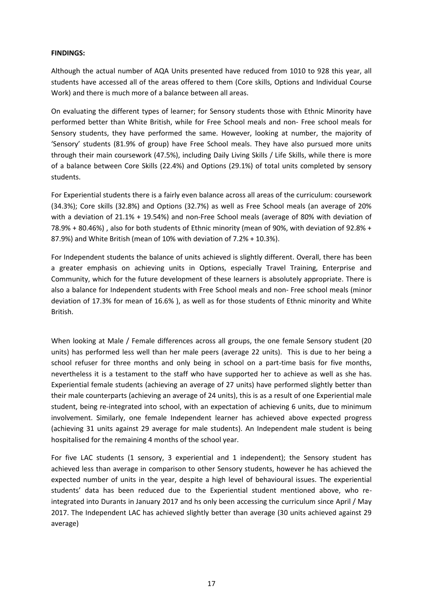#### **FINDINGS:**

Although the actual number of AQA Units presented have reduced from 1010 to 928 this year, all students have accessed all of the areas offered to them (Core skills, Options and Individual Course Work) and there is much more of a balance between all areas.

On evaluating the different types of learner; for Sensory students those with Ethnic Minority have performed better than White British, while for Free School meals and non- Free school meals for Sensory students, they have performed the same. However, looking at number, the majority of 'Sensory' students (81.9% of group) have Free School meals. They have also pursued more units through their main coursework (47.5%), including Daily Living Skills / Life Skills, while there is more of a balance between Core Skills (22.4%) and Options (29.1%) of total units completed by sensory students.

For Experiential students there is a fairly even balance across all areas of the curriculum: coursework (34.3%); Core skills (32.8%) and Options (32.7%) as well as Free School meals (an average of 20% with a deviation of 21.1% + 19.54%) and non-Free School meals (average of 80% with deviation of 78.9% + 80.46%) , also for both students of Ethnic minority (mean of 90%, with deviation of 92.8% + 87.9%) and White British (mean of 10% with deviation of 7.2% + 10.3%).

For Independent students the balance of units achieved is slightly different. Overall, there has been a greater emphasis on achieving units in Options, especially Travel Training, Enterprise and Community, which for the future development of these learners is absolutely appropriate. There is also a balance for Independent students with Free School meals and non- Free school meals (minor deviation of 17.3% for mean of 16.6% ), as well as for those students of Ethnic minority and White British.

When looking at Male / Female differences across all groups, the one female Sensory student (20 units) has performed less well than her male peers (average 22 units). This is due to her being a school refuser for three months and only being in school on a part-time basis for five months, nevertheless it is a testament to the staff who have supported her to achieve as well as she has. Experiential female students (achieving an average of 27 units) have performed slightly better than their male counterparts (achieving an average of 24 units), this is as a result of one Experiential male student, being re-integrated into school, with an expectation of achieving 6 units, due to minimum involvement. Similarly, one female Independent learner has achieved above expected progress (achieving 31 units against 29 average for male students). An Independent male student is being hospitalised for the remaining 4 months of the school year.

For five LAC students (1 sensory, 3 experiential and 1 independent); the Sensory student has achieved less than average in comparison to other Sensory students, however he has achieved the expected number of units in the year, despite a high level of behavioural issues. The experiential students' data has been reduced due to the Experiential student mentioned above, who reintegrated into Durants in January 2017 and hs only been accessing the curriculum since April / May 2017. The Independent LAC has achieved slightly better than average (30 units achieved against 29 average)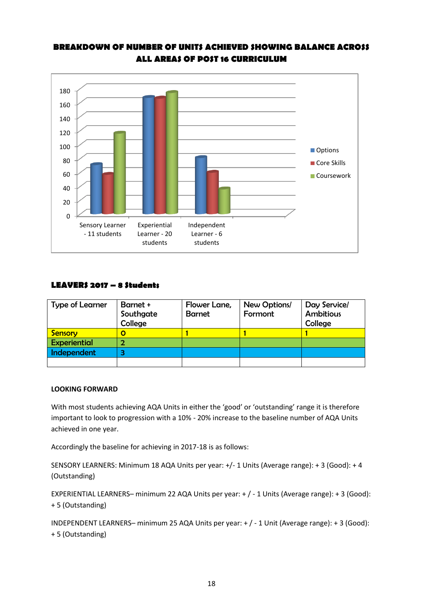

#### **BREAKDOWN OF NUMBER OF UNITS ACHIEVED SHOWING BALANCE ACROSS ALL AREAS OF POST 16 CURRICULUM**

#### **LEAVERS 2017 – 8 Students**

| <b>Type of Learner</b> | Barnet +<br>Southgate<br>College | Flower Lane,<br><b>Barnet</b> | New Options/<br>Formont | Day Service/<br><b>Ambitious</b><br>College |
|------------------------|----------------------------------|-------------------------------|-------------------------|---------------------------------------------|
| Sensory                |                                  |                               |                         |                                             |
| <b>Experiential</b>    |                                  |                               |                         |                                             |
| Independent            | з                                |                               |                         |                                             |
|                        |                                  |                               |                         |                                             |

#### **LOOKING FORWARD**

With most students achieving AQA Units in either the 'good' or 'outstanding' range it is therefore important to look to progression with a 10% - 20% increase to the baseline number of AQA Units achieved in one year.

Accordingly the baseline for achieving in 2017-18 is as follows:

SENSORY LEARNERS: Minimum 18 AQA Units per year: +/- 1 Units (Average range): + 3 (Good): + 4 (Outstanding)

EXPERIENTIAL LEARNERS– minimum 22 AQA Units per year: + / - 1 Units (Average range): + 3 (Good): + 5 (Outstanding)

INDEPENDENT LEARNERS– minimum 25 AQA Units per year: + / - 1 Unit (Average range): + 3 (Good): + 5 (Outstanding)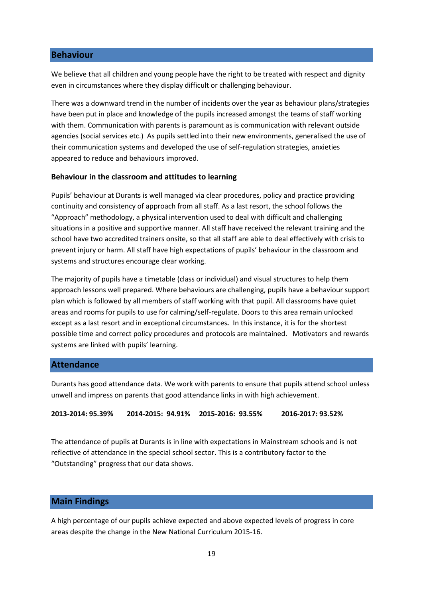#### **Behaviour**

We believe that all children and young people have the right to be treated with respect and dignity even in circumstances where they display difficult or challenging behaviour.

There was a downward trend in the number of incidents over the year as behaviour plans/strategies have been put in place and knowledge of the pupils increased amongst the teams of staff working with them. Communication with parents is paramount as is communication with relevant outside agencies (social services etc.) As pupils settled into their new environments, generalised the use of their communication systems and developed the use of self-regulation strategies, anxieties appeared to reduce and behaviours improved.

#### **Behaviour in the classroom and attitudes to learning**

Pupils' behaviour at Durants is well managed via clear procedures, policy and practice providing continuity and consistency of approach from all staff. As a last resort, the school follows the "Approach" methodology, a physical intervention used to deal with difficult and challenging situations in a positive and supportive manner. All staff have received the relevant training and the school have two accredited trainers onsite, so that all staff are able to deal effectively with crisis to prevent injury or harm. All staff have high expectations of pupils' behaviour in the classroom and systems and structures encourage clear working.

The majority of pupils have a timetable (class or individual) and visual structures to help them approach lessons well prepared. Where behaviours are challenging, pupils have a behaviour support plan which is followed by all members of staff working with that pupil. All classrooms have quiet areas and rooms for pupils to use for calming/self-regulate. Doors to this area remain unlocked except as a last resort and in exceptional circumstances. In this instance, it is for the shortest possible time and correct policy procedures and protocols are maintained. Motivators and rewards systems are linked with pupils' learning.

#### **Attendance**

Durants has good attendance data. We work with parents to ensure that pupils attend school unless unwell and impress on parents that good attendance links in with high achievement.

**2013-2014: 95.39% 2014-2015: 94.91% 2015-2016: 93.55% 2016-2017: 93.52%**

The attendance of pupils at Durants is in line with expectations in Mainstream schools and is not reflective of attendance in the special school sector. This is a contributory factor to the "Outstanding" progress that our data shows.

#### **Main Findings**

A high percentage of our pupils achieve expected and above expected levels of progress in core areas despite the change in the New National Curriculum 2015-16.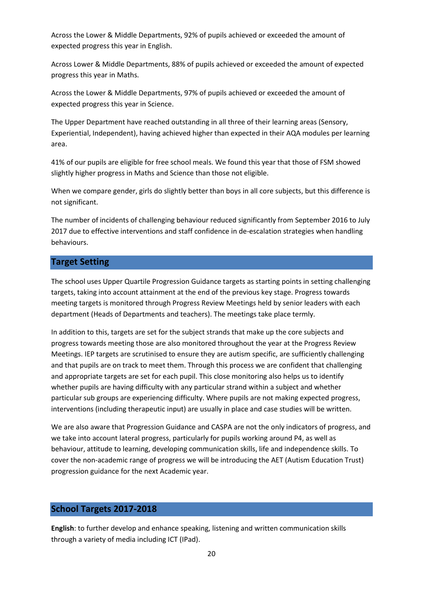Across the Lower & Middle Departments, 92% of pupils achieved or exceeded the amount of expected progress this year in English.

Across Lower & Middle Departments, 88% of pupils achieved or exceeded the amount of expected progress this year in Maths.

Across the Lower & Middle Departments, 97% of pupils achieved or exceeded the amount of expected progress this year in Science.

The Upper Department have reached outstanding in all three of their learning areas (Sensory, Experiential, Independent), having achieved higher than expected in their AQA modules per learning area.

41% of our pupils are eligible for free school meals. We found this year that those of FSM showed slightly higher progress in Maths and Science than those not eligible.

When we compare gender, girls do slightly better than boys in all core subjects, but this difference is not significant.

The number of incidents of challenging behaviour reduced significantly from September 2016 to July 2017 due to effective interventions and staff confidence in de-escalation strategies when handling behaviours.

#### **Target Setting**

The school uses Upper Quartile Progression Guidance targets as starting points in setting challenging targets, taking into account attainment at the end of the previous key stage. Progress towards meeting targets is monitored through Progress Review Meetings held by senior leaders with each department (Heads of Departments and teachers). The meetings take place termly.

In addition to this, targets are set for the subject strands that make up the core subjects and progress towards meeting those are also monitored throughout the year at the Progress Review Meetings. IEP targets are scrutinised to ensure they are autism specific, are sufficiently challenging and that pupils are on track to meet them. Through this process we are confident that challenging and appropriate targets are set for each pupil. This close monitoring also helps us to identify whether pupils are having difficulty with any particular strand within a subject and whether particular sub groups are experiencing difficulty. Where pupils are not making expected progress, interventions (including therapeutic input) are usually in place and case studies will be written.

We are also aware that Progression Guidance and CASPA are not the only indicators of progress, and we take into account lateral progress, particularly for pupils working around P4, as well as behaviour, attitude to learning, developing communication skills, life and independence skills. To cover the non-academic range of progress we will be introducing the AET (Autism Education Trust) progression guidance for the next Academic year.

#### **School Targets 2017-2018**

**English**: to further develop and enhance speaking, listening and written communication skills through a variety of media including ICT (IPad).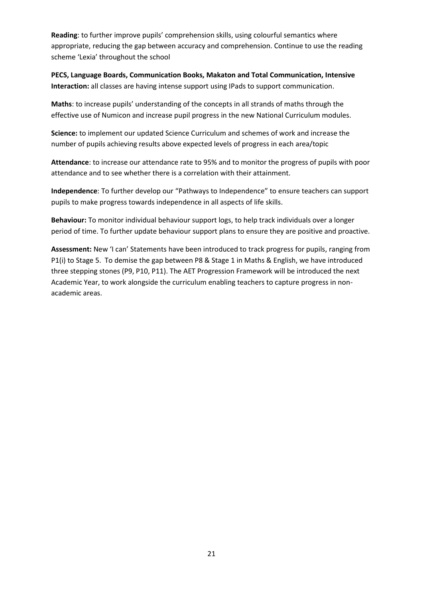**Reading**: to further improve pupils' comprehension skills, using colourful semantics where appropriate, reducing the gap between accuracy and comprehension. Continue to use the reading scheme 'Lexia' throughout the school

**PECS, Language Boards, Communication Books, Makaton and Total Communication, Intensive Interaction:** all classes are having intense support using IPads to support communication.

**Maths**: to increase pupils' understanding of the concepts in all strands of maths through the effective use of Numicon and increase pupil progress in the new National Curriculum modules.

**Science:** to implement our updated Science Curriculum and schemes of work and increase the number of pupils achieving results above expected levels of progress in each area/topic

**Attendance**: to increase our attendance rate to 95% and to monitor the progress of pupils with poor attendance and to see whether there is a correlation with their attainment.

**Independence**: To further develop our "Pathways to Independence" to ensure teachers can support pupils to make progress towards independence in all aspects of life skills.

**Behaviour:** To monitor individual behaviour support logs, to help track individuals over a longer period of time. To further update behaviour support plans to ensure they are positive and proactive.

**Assessment:** New 'I can' Statements have been introduced to track progress for pupils, ranging from P1(i) to Stage 5. To demise the gap between P8 & Stage 1 in Maths & English, we have introduced three stepping stones (P9, P10, P11). The AET Progression Framework will be introduced the next Academic Year, to work alongside the curriculum enabling teachers to capture progress in nonacademic areas.